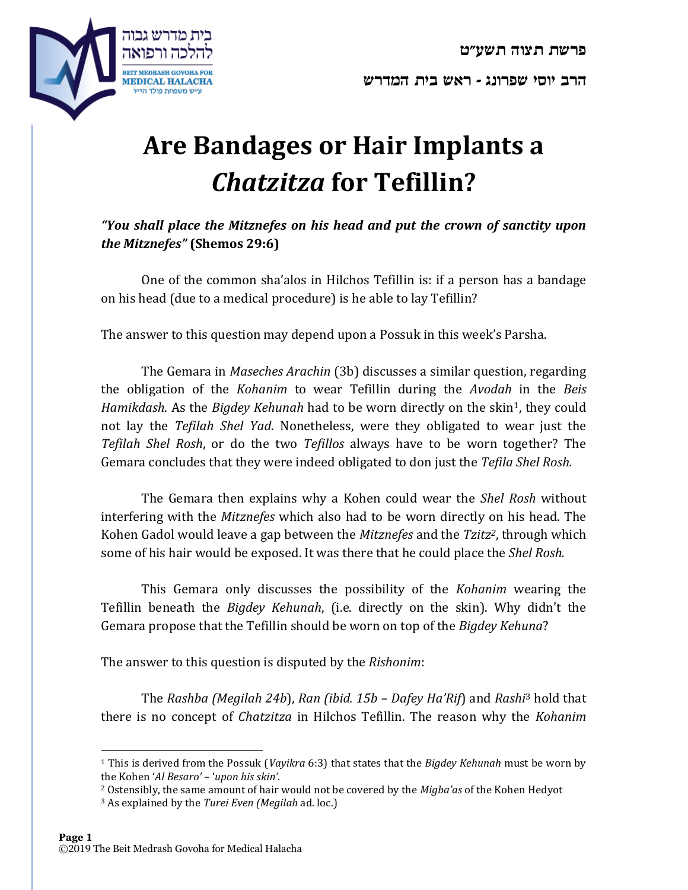



# **Are Bandages or Hair Implants a**  *Chatzitza* **for Tefillin?**

## *"You shall place the Mitznefes on his head and put the crown of sanctity upon the Mitznefes"* **(Shemos 29:6)**

One of the common sha'alos in Hilchos Tefillin is: if a person has a bandage on his head (due to a medical procedure) is he able to lay Tefillin?

The answer to this question may depend upon a Possuk in this week's Parsha.

The Gemara in *Maseches Arachin* (3b) discusses a similar question, regarding the obligation of the *Kohanim* to wear Tefillin during the *Avodah* in the *Beis Hamikdash.* As the *Bigdey Kehunah* had to be worn directly on the skin<sup>1</sup>, they could not lay the *Tefilah Shel Yad*. Nonetheless, were they obligated to wear just the *Tefilah Shel Rosh*, or do the two *Tefillos* always have to be worn together? The Gemara concludes that they were indeed obligated to don just the *Tefila Shel Rosh.*

The Gemara then explains why a Kohen could wear the *Shel Rosh* without interfering with the *Mitznefes* which also had to be worn directly on his head. The Kohen Gadol would leave a gap between the *Mitznefes* and the *Tzitz2*, through which some of his hair would be exposed. It was there that he could place the *Shel Rosh.*

This Gemara only discusses the possibility of the *Kohanim* wearing the Tefillin beneath the *Bigdey Kehunah*, (i.e. directly on the skin). Why didn't the Gemara propose that the Tefillin should be worn on top of the *Bigdey Kehuna*?

The answer to this question is disputed by the *Rishonim*:

The *Rashba (Megilah 24b*), *Ran (ibid. 15b – Dafey Ha'Rif*) and *Rashi*<sup>3</sup> hold that there is no concept of *Chatzitza* in Hilchos Tefillin. The reason why the *Kohanim*

<sup>1</sup> This is derived from the Possuk (*Vayikra* 6:3) that states that the *Bigdey Kehunah* must be worn by the Kohen '*Al Besaro'* – '*upon his skin'*.

<sup>2</sup> Ostensibly, the same amount of hair would not be covered by the *Migba'as* of the Kohen Hedyot

<sup>3</sup> As explained by the *Turei Even (Megilah* ad. loc.)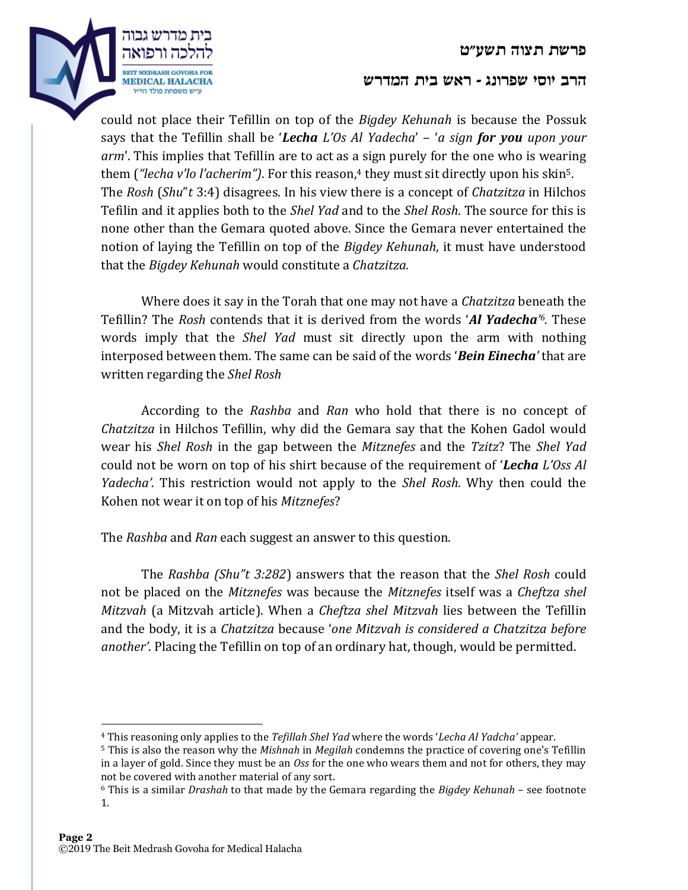**פרשת תצוה תשע"ט**



#### **הרב יוסי שפרונג - ראש בית המדרש**

could not place their Tefillin on top of the *Bigdey Kehunah* is because the Possuk says that the Tefillin shall be '*Lecha L'Os Al Yadecha*' – '*a sign for you upon your arm*'. This implies that Tefillin are to act as a sign purely for the one who is wearing them (*"lecha v'lo l'acherim"*). For this reason,<sup>4</sup> they must sit directly upon his skin<sup>5</sup>. The *Rosh* (*Shu*"*t* 3:4) disagrees. In his view there is a concept of *Chatzitza* in Hilchos Tefilin and it applies both to the *Shel Yad* and to the *Shel Rosh*. The source for this is none other than the Gemara quoted above. Since the Gemara never entertained the notion of laying the Tefillin on top of the *Bigdey Kehunah*, it must have understood that the *Bigdey Kehunah* would constitute a *Chatzitza.*

Where does it say in the Torah that one may not have a *Chatzitza* beneath the Tefillin? The *Rosh* contends that it is derived from the words '*Al Yadecha' <sup>6</sup>.* These words imply that the *Shel Yad* must sit directly upon the arm with nothing interposed between them. The same can be said of the words '*Bein Einecha'* that are written regarding the *Shel Rosh*

According to the *Rashba* and *Ran* who hold that there is no concept of *Chatzitza* in Hilchos Tefillin, why did the Gemara say that the Kohen Gadol would wear his *Shel Rosh* in the gap between the *Mitznefes* and the *Tzitz*? The *Shel Yad* could not be worn on top of his shirt because of the requirement of '*Lecha L'Oss Al Yadecha'.* This restriction would not apply to the *Shel Rosh*. Why then could the Kohen not wear it on top of his *Mitznefes*?

The *Rashba* and *Ran* each suggest an answer to this question.

The *Rashba (Shu"t 3:282*) answers that the reason that the *Shel Rosh* could not be placed on the *Mitznefes* was because the *Mitznefes* itself was a *Cheftza shel Mitzvah* (a Mitzvah article). When a *Cheftza shel Mitzvah* lies between the Tefillin and the body, it is a *Chatzitza* because '*one Mitzvah is considered a Chatzitza before another'*. Placing the Tefillin on top of an ordinary hat, though, would be permitted.

<sup>4</sup> This reasoning only applies to the *Tefillah Shel Yad* where the words '*Lecha Al Yadcha'* appear.

<sup>5</sup> This is also the reason why the *Mishnah* in *Megilah* condemns the practice of covering one's Tefillin in a layer of gold. Since they must be an *Oss* for the one who wears them and not for others, they may not be covered with another material of any sort.

<sup>6</sup> This is a similar *Drashah* to that made by the Gemara regarding the *Bigdey Kehunah* – see footnote 1.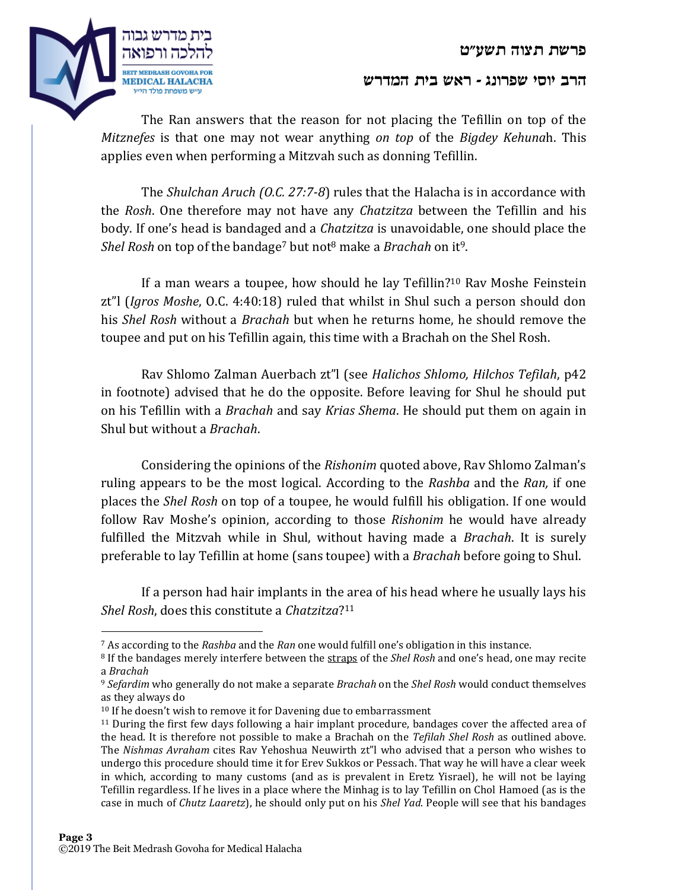

### **הרב יוסי שפרונג - ראש בית המדרש**

The Ran answers that the reason for not placing the Tefillin on top of the *Mitznefes* is that one may not wear anything *on top* of the *Bigdey Kehuna*h. This applies even when performing a Mitzvah such as donning Tefillin.

The *Shulchan Aruch (O.C. 27:7-8*) rules that the Halacha is in accordance with the *Rosh*. One therefore may not have any *Chatzitza* between the Tefillin and his body. If one's head is bandaged and a *Chatzitza* is unavoidable, one should place the *Shel Rosh* on top of the bandage<sup>7</sup> but not<sup>8</sup> make a *Brachah* on it9.

If a man wears a toupee, how should he lay Tefillin?<sup>10</sup> Rav Moshe Feinstein zt"l (*Igros Moshe*, O.C. 4:40:18) ruled that whilst in Shul such a person should don his *Shel Rosh* without a *Brachah* but when he returns home, he should remove the toupee and put on his Tefillin again, this time with a Brachah on the Shel Rosh.

Rav Shlomo Zalman Auerbach zt"l (see *Halichos Shlomo, Hilchos Tefilah*, p42 in footnote) advised that he do the opposite. Before leaving for Shul he should put on his Tefillin with a *Brachah* and say *Krias Shema*. He should put them on again in Shul but without a *Brachah*.

Considering the opinions of the *Rishonim* quoted above, Rav Shlomo Zalman's ruling appears to be the most logical. According to the *Rashba* and the *Ran,* if one places the *Shel Rosh* on top of a toupee, he would fulfill his obligation. If one would follow Rav Moshe's opinion, according to those *Rishonim* he would have already fulfilled the Mitzvah while in Shul, without having made a *Brachah*. It is surely preferable to lay Tefillin at home (sans toupee) with a *Brachah* before going to Shul.

If a person had hair implants in the area of his head where he usually lays his *Shel Rosh*, does this constitute a *Chatzitza*? 11

<sup>7</sup> As according to the *Rashba* and the *Ran* one would fulfill one's obligation in this instance.

<sup>8</sup> If the bandages merely interfere between the straps of the *Shel Rosh* and one's head, one may recite a *Brachah*

<sup>9</sup> *Sefardim* who generally do not make a separate *Brachah* on the *Shel Rosh* would conduct themselves as they always do

<sup>&</sup>lt;sup>10</sup> If he doesn't wish to remove it for Davening due to embarrassment

<sup>&</sup>lt;sup>11</sup> During the first few days following a hair implant procedure, bandages cover the affected area of the head. It is therefore not possible to make a Brachah on the *Tefilah Shel Rosh* as outlined above. The *Nishmas Avraham* cites Rav Yehoshua Neuwirth zt"l who advised that a person who wishes to undergo this procedure should time it for Erev Sukkos or Pessach. That way he will have a clear week in which, according to many customs (and as is prevalent in Eretz Yisrael), he will not be laying Tefillin regardless. If he lives in a place where the Minhag is to lay Tefillin on Chol Hamoed (as is the case in much of *Chutz Laaretz*), he should only put on his *Shel Yad*. People will see that his bandages